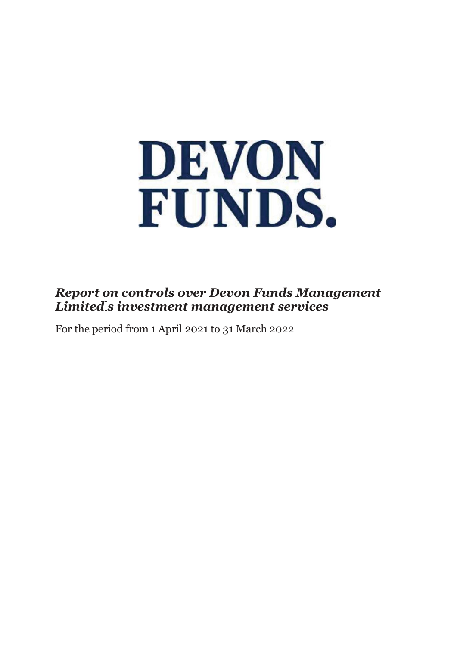

# *Report on controls over Devon Funds Management Limited' s investment management services*

For the period from 1 April 2021 to 31 March 2022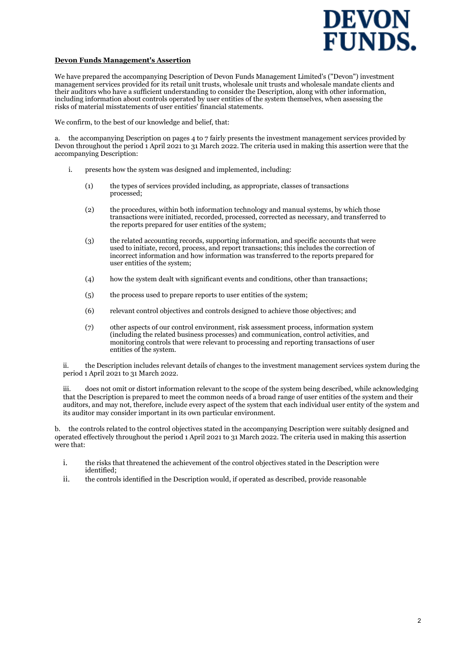

#### **Devon Funds Management's Assertion**

We have prepared the accompanying Description of Devon Funds Management Limited's ("Devon") investment management services provided for its retail unit trusts, wholesale unit trusts and wholesale mandate clients and their auditors who have a sufficient understanding to consider the Description, along with other information, including information about controls operated by user entities of the system themselves, when assessing the risks of material misstatements of user entities' financial statements.

We confirm, to the best of our knowledge and belief, that:

a. the accompanying Description on pages 4 to 7 fairly presents the investment management services provided by Devon throughout the period 1 April 2021 to 31 March 2022. The criteria used in making this assertion were that the accompanying Description:

- i. presents how the system was designed and implemented, including:
	- (1) the types of services provided including, as appropriate, classes of transactions processed;
	- (2) the procedures, within both information technology and manual systems, by which those transactions were initiated, recorded, processed, corrected as necessary, and transferred to the reports prepared for user entities of the system;
	- (3) the related accounting records, supporting information, and specific accounts that were used to initiate, record, process, and report transactions; this includes the correction of incorrect information and how information was transferred to the reports prepared for user entities of the system;
	- (4) how the system dealt with significant events and conditions, other than transactions;
	- (5) the process used to prepare reports to user entities of the system;
	- (6) relevant control objectives and controls designed to achieve those objectives; and
	- (7) other aspects of our control environment, risk assessment process, information system (including the related business processes) and communication, control activities, and monitoring controls that were relevant to processing and reporting transactions of user entities of the system.

ii. the Description includes relevant details of changes to the investment management services system during the period 1 April 2021 to 31 March 2022.

iii. does not omit or distort information relevant to the scope of the system being described, while acknowledging that the Description is prepared to meet the common needs of a broad range of user entities of the system and their auditors, and may not, therefore, include every aspect of the system that each individual user entity of the system and its auditor may consider important in its own particular environment.

b. the controls related to the control objectives stated in the accompanying Description were suitably designed and operated effectively throughout the period 1 April 2021 to 31 March 2022. The criteria used in making this assertion were that:

- i. the risks that threatened the achievement of the control objectives stated in the Description were identified;
- ii. the controls identified in the Description would, if operated as described, provide reasonable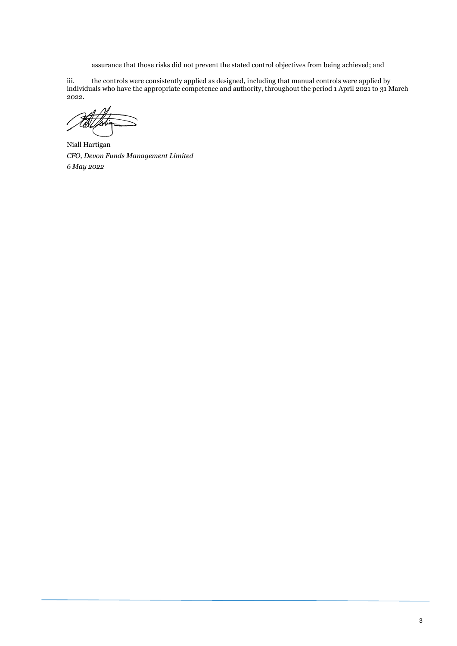assurance that those risks did not prevent the stated control objectives from being achieved; and

iii. the controls were consistently applied as designed, including that manual controls were applied by individuals who have the appropriate competence and authority, throughout the period 1 April 2021 to 31 March 2022.

Niall Hartigan *CFO, Devon Funds Management Limited 6 May 2022*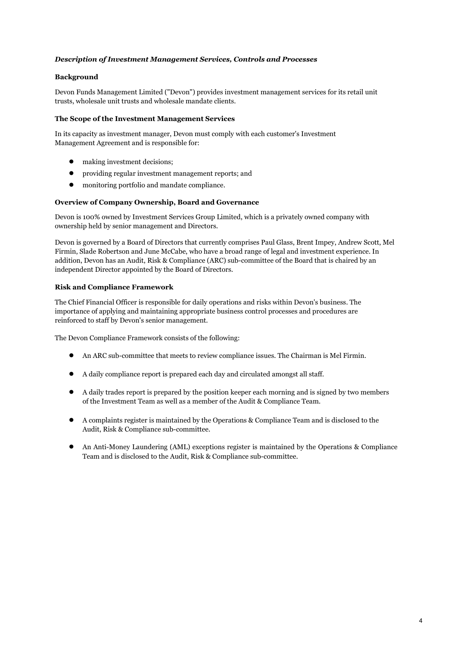#### *Description of Investment Management Services, Controls and Processes*

#### **Background**

Devon Funds Management Limited ("Devon") provides investment management services for its retail unit trusts, wholesale unit trusts and wholesale mandate clients.

#### **The Scope of the Investment Management Services**

In its capacity as investment manager, Devon must comply with each customer's Investment Management Agreement and is responsible for:

- making investment decisions;
- providing regular investment management reports; and
- monitoring portfolio and mandate compliance.

#### **Overview of Company Ownership, Board and Governance**

Devon is 100% owned by Investment Services Group Limited, which is a privately owned company with ownership held by senior management and Directors.

Devon is governed by a Board of Directors that currently comprises Paul Glass, Brent Impey, Andrew Scott, Mel Firmin, Slade Robertson and June McCabe, who have a broad range of legal and investment experience. In addition, Devon has an Audit, Risk & Compliance (ARC) sub-committee of the Board that is chaired by an independent Director appointed by the Board of Directors.

## **Risk and Compliance Framework**

The Chief Financial Officer is responsible for daily operations and risks within Devon's business. The importance of applying and maintaining appropriate business control processes and procedures are reinforced to staff by Devon's senior management.

The Devon Compliance Framework consists of the following:

- An ARC sub-committee that meets to review compliance issues. The Chairman is Mel Firmin.
- A daily compliance report is prepared each day and circulated amongst all staff.
- A daily trades report is prepared by the position keeper each morning and is signed by two members of the Investment Team as well as a member of the Audit & Compliance Team.
- A complaints register is maintained by the Operations & Compliance Team and is disclosed to the Audit, Risk & Compliance sub-committee.
- An Anti-Money Laundering (AML) exceptions register is maintained by the Operations & Compliance Team and is disclosed to the Audit, Risk & Compliance sub-committee.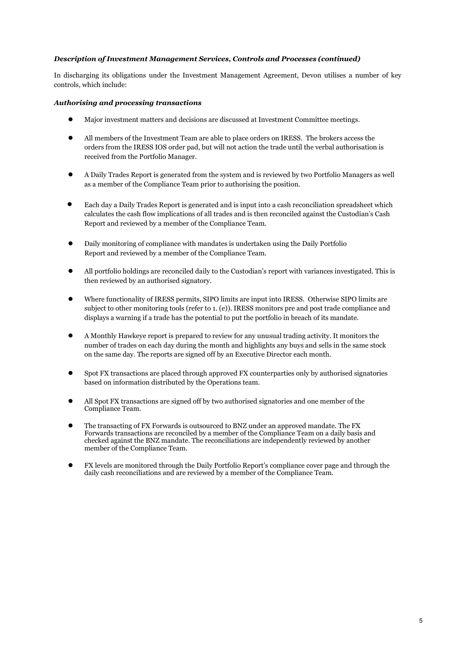#### *Description of Investment Management Services, Controls and Processes (continued)*

In discharging its obligations under the Investment Management Agreement, Devon utilises a number of key controls, which include:

#### *Authorising and processing transactions*

- Major investment matters and decisions are discussed at Investment Committee meetings.
- All members of the Investment Team are able to place orders on IRESS. The brokers access the orders from the IRESS IOS order pad, but will not action the trade until the verbal authorisation is received from the Portfolio Manager.
- A Daily Trades Report is generated from the system and is reviewed by two Portfolio Managers as well as a member of the Compliance Team prior to authorising the position.
- Each day a Daily Trades Report is generated and is input into a cash reconciliation spreadsheet which calculates the cash flow implications of all trades and is then reconciled against the Custodian's Cash Report and reviewed by a member of the Compliance Team.
- Daily monitoring of compliance with mandates is undertaken using the Daily Portfolio Report and reviewed by a member of the Compliance Team.
- All portfolio holdings are reconciled daily to the Custodian's report with variances investigated. This is then reviewed by an authorised signatory.
- Where functionality of IRESS permits, SIPO limits are input into IRESS. Otherwise SIPO limits are subject to other monitoring tools (refer to 1. (e)). IRESS monitors pre and post trade compliance and displays a warning if a trade has the potential to put the portfolio in breach of its mandate.
- A Monthly Hawkeye report is prepared to review for any unusual trading activity. It monitors the number of trades on each day during the month and highlights any buys and sells in the same stock on the same day. The reports are signed off by an Executive Director each month.
- Spot FX transactions are placed through approved FX counterparties only by authorised signatories based on information distributed by the Operations team.
- All Spot FX transactions are signed off by two authorised signatories and one member of the Compliance Team.
- The transacting of FX Forwards is outsourced to BNZ under an approved mandate. The FX Forwards transactions are reconciled by a member of the Compliance Team on a daily basis and checked against the BNZ mandate. The reconciliations are independently reviewed by another member of the Compliance Team.
- FX levels are monitored through the Daily Portfolio Report's compliance cover page and through the daily cash reconciliations and are reviewed by a member of the Compliance Team.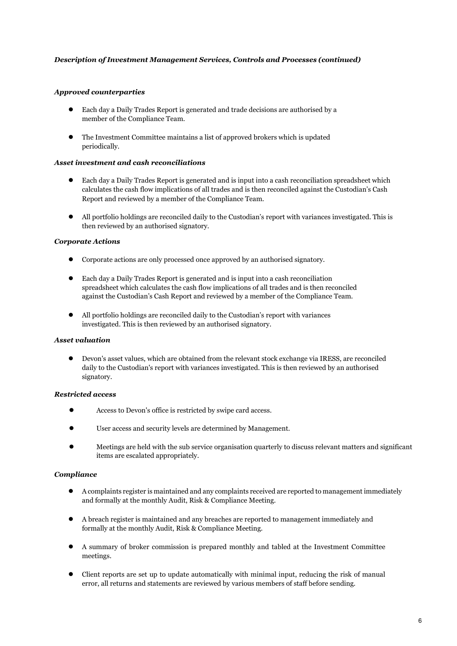#### *Description of Investment Management Services, Controls and Processes (continued)*

#### *Approved counterparties*

- Each day a Daily Trades Report is generated and trade decisions are authorised by a member of the Compliance Team.
- The Investment Committee maintains a list of approved brokers which is updated periodically.

#### *Asset investment and cash reconciliations*

- Each day a Daily Trades Report is generated and is input into a cash reconciliation spreadsheet which calculates the cash flow implications of all trades and is then reconciled against the Custodian's Cash Report and reviewed by a member of the Compliance Team.
- All portfolio holdings are reconciled daily to the Custodian's report with variances investigated. This is then reviewed by an authorised signatory.

#### *Corporate Actions*

- Corporate actions are only processed once approved by an authorised signatory.
- Each day a Daily Trades Report is generated and is input into a cash reconciliation spreadsheet which calculates the cash flow implications of all trades and is then reconciled against the Custodian's Cash Report and reviewed by a member of the Compliance Team.
- All portfolio holdings are reconciled daily to the Custodian's report with variances investigated. This is then reviewed by an authorised signatory.

#### *Asset valuation*

● Devon's asset values, which are obtained from the relevant stock exchange via IRESS, are reconciled daily to the Custodian's report with variances investigated. This is then reviewed by an authorised signatory.

#### *Restricted access*

- Access to Devon's office is restricted by swipe card access.
- User access and security levels are determined by Management.
- Meetings are held with the sub service organisation quarterly to discuss relevant matters and significant items are escalated appropriately.

#### *Compliance*

- A complaints register is maintained and any complaints received are reported to management immediately and formally at the monthly Audit, Risk & Compliance Meeting.
- A breach register is maintained and any breaches are reported to management immediately and formally at the monthly Audit, Risk & Compliance Meeting.
- A summary of broker commission is prepared monthly and tabled at the Investment Committee meetings.
- Client reports are set up to update automatically with minimal input, reducing the risk of manual error, all returns and statements are reviewed by various members of staff before sending.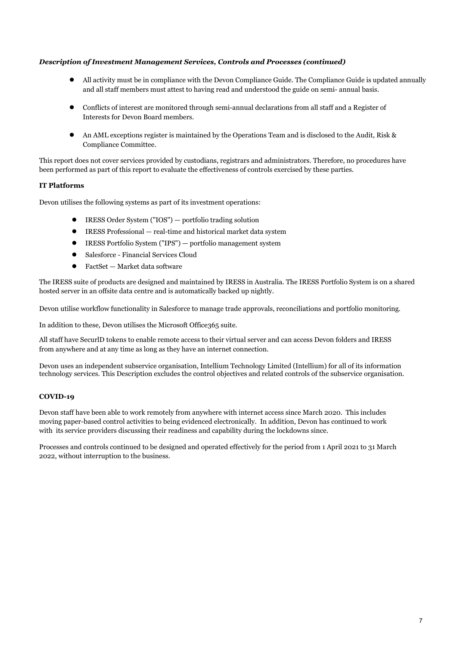## *Description of Investment Management Services, Controls and Processes (continued)*

- All activity must be in compliance with the Devon Compliance Guide. The Compliance Guide is updated annually and all staff members must attest to having read and understood the guide on semi- annual basis.
- Conflicts of interest are monitored through semi-annual declarations from all staff and a Register of Interests for Devon Board members.
- An AML exceptions register is maintained by the Operations Team and is disclosed to the Audit, Risk & Compliance Committee.

This report does not cover services provided by custodians, registrars and administrators. Therefore, no procedures have been performed as part of this report to evaluate the effectiveness of controls exercised by these parties.

## **IT Platforms**

Devon utilises the following systems as part of its investment operations:

- IRESS Order System ("IOS") portfolio trading solution
- IRESS Professional real-time and historical market data system
- IRESS Portfolio System ("IPS") portfolio management system
- Salesforce Financial Services Cloud
- $FactSet Market data software$

The IRESS suite of products are designed and maintained by IRESS in Australia. The IRESS Portfolio System is on a shared hosted server in an offsite data centre and is automatically backed up nightly.

Devon utilise workflow functionality in Salesforce to manage trade approvals, reconciliations and portfolio monitoring.

In addition to these, Devon utilises the Microsoft Office365 suite.

All staff have SecurlD tokens to enable remote access to their virtual server and can access Devon folders and IRESS from anywhere and at any time as long as they have an internet connection.

Devon uses an independent subservice organisation, Intellium Technology Limited (Intellium) for all of its information technology services. This Description excludes the control objectives and related controls of the subservice organisation.

#### **COVID-19**

Devon staff have been able to work remotely from anywhere with internet access since March 2020. This includes moving paper-based control activities to being evidenced electronically. In addition, Devon has continued to work with its service providers discussing their readiness and capability during the lockdowns since.

Processes and controls continued to be designed and operated effectively for the period from 1 April 2021 to 31 March 2022, without interruption to the business.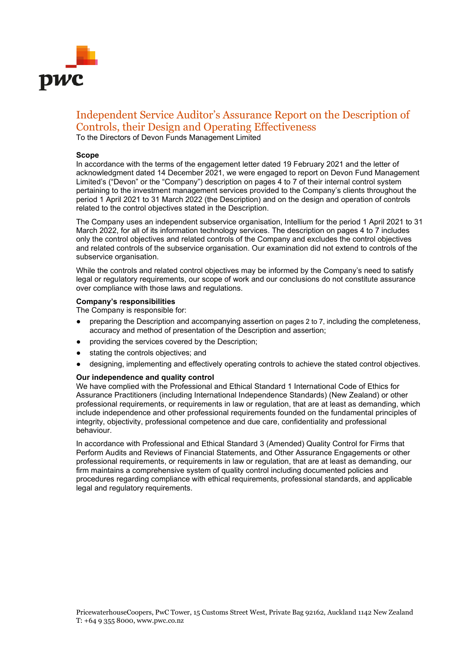

# Independent Service Auditor's Assurance Report on the Description of Controls, their Design and Operating Effectiveness

To the Directors of Devon Funds Management Limited

#### **Scope**

In accordance with the terms of the engagement letter dated 19 February 2021 and the letter of acknowledgment dated 14 December 2021, we were engaged to report on Devon Fund Management Limited's ("Devon" or the "Company") description on pages 4 to 7 of their internal control system pertaining to the investment management services provided to the Company's clients throughout the period 1 April 2021 to 31 March 2022 (the Description) and on the design and operation of controls related to the control objectives stated in the Description.

The Company uses an independent subservice organisation, Intellium for the period 1 April 2021 to 31 March 2022, for all of its information technology services. The description on pages 4 to 7 includes only the control objectives and related controls of the Company and excludes the control objectives and related controls of the subservice organisation. Our examination did not extend to controls of the subservice organisation.

While the controls and related control objectives may be informed by the Company's need to satisfy legal or regulatory requirements, our scope of work and our conclusions do not constitute assurance over compliance with those laws and regulations.

#### **Company's** r**esponsibilities**

The Company is responsible for:

- preparing the Description and accompanying assertion on pages 2 to 7, including the completeness, accuracy and method of presentation of the Description and assertion;
- providing the services covered by the Description;
- stating the controls objectives; and
- designing, implementing and effectively operating controls to achieve the stated control objectives.

#### **Our independence and quality control**

We have complied with the Professional and Ethical Standard 1 International Code of Ethics for Assurance Practitioners (including International Independence Standards) (New Zealand) or other professional requirements, or requirements in law or regulation, that are at least as demanding, which include independence and other professional requirements founded on the fundamental principles of integrity, objectivity, professional competence and due care, confidentiality and professional behaviour.

In accordance with Professional and Ethical Standard 3 (Amended) Quality Control for Firms that Perform Audits and Reviews of Financial Statements, and Other Assurance Engagements or other professional requirements, or requirements in law or regulation, that are at least as demanding, our firm maintains a comprehensive system of quality control including documented policies and procedures regarding compliance with ethical requirements, professional standards, and applicable legal and regulatory requirements.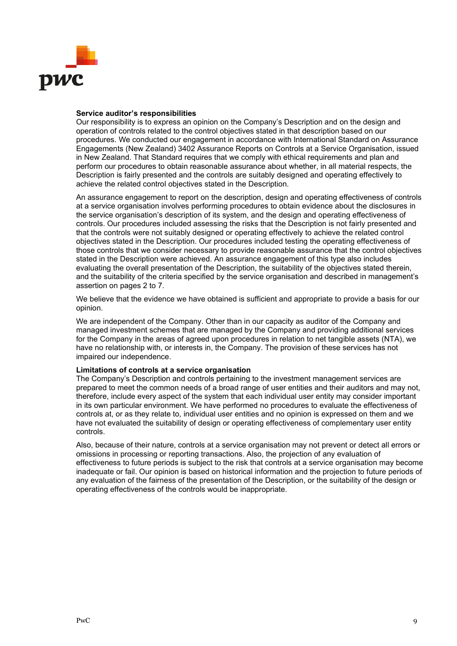

#### **Service auditor's responsibilities**

Our responsibility is to express an opinion on the Company's Description and on the design and operation of controls related to the control objectives stated in that description based on our procedures. We conducted our engagement in accordance with International Standard on Assurance Engagements (New Zealand) 3402 Assurance Reports on Controls at a Service Organisation, issued in New Zealand. That Standard requires that we comply with ethical requirements and plan and perform our procedures to obtain reasonable assurance about whether, in all material respects, the Description is fairly presented and the controls are suitably designed and operating effectively to achieve the related control objectives stated in the Description.

An assurance engagement to report on the description, design and operating effectiveness of controls at a service organisation involves performing procedures to obtain evidence about the disclosures in the service organisation's description of its system, and the design and operating effectiveness of controls. Our procedures included assessing the risks that the Description is not fairly presented and that the controls were not suitably designed or operating effectively to achieve the related control objectives stated in the Description. Our procedures included testing the operating effectiveness of those controls that we consider necessary to provide reasonable assurance that the control objectives stated in the Description were achieved. An assurance engagement of this type also includes evaluating the overall presentation of the Description, the suitability of the objectives stated therein, and the suitability of the criteria specified by the service organisation and described in management's assertion on pages 2 to 7.

We believe that the evidence we have obtained is sufficient and appropriate to provide a basis for our opinion.

We are independent of the Company. Other than in our capacity as auditor of the Company and managed investment schemes that are managed by the Company and providing additional services for the Company in the areas of agreed upon procedures in relation to net tangible assets (NTA), we have no relationship with, or interests in, the Company. The provision of these services has not impaired our independence.

#### **Limitations of controls at a service organisation**

The Company's Description and controls pertaining to the investment management services are prepared to meet the common needs of a broad range of user entities and their auditors and may not, therefore, include every aspect of the system that each individual user entity may consider important in its own particular environment. We have performed no procedures to evaluate the effectiveness of controls at, or as they relate to, individual user entities and no opinion is expressed on them and we have not evaluated the suitability of design or operating effectiveness of complementary user entity controls.

Also, because of their nature, controls at a service organisation may not prevent or detect all errors or omissions in processing or reporting transactions. Also, the projection of any evaluation of effectiveness to future periods is subject to the risk that controls at a service organisation may become inadequate or fail. Our opinion is based on historical information and the projection to future periods of any evaluation of the fairness of the presentation of the Description, or the suitability of the design or operating effectiveness of the controls would be inappropriate.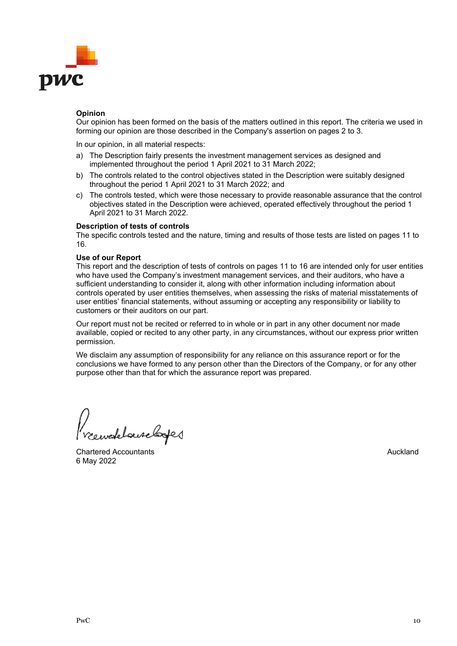

# **Opinion**

Our opinion has been formed on the basis of the matters outlined in this report. The criteria we used in forming our opinion are those described in the Company's assertion on pages 2 to 3.

In our opinion, in all material respects:

- a) The Description fairly presents the investment management services as designed and implemented throughout the period 1 April 2021 to 31 March 2022;
- b) The controls related to the control objectives stated in the Description were suitably designed throughout the period 1 April 2021 to 31 March 2022; and
- c) The controls tested, which were those necessary to provide reasonable assurance that the control objectives stated in the Description were achieved, operated effectively throughout the period 1 April 2021 to 31 March 2022.

#### **Description of tests of controls**

The specific controls tested and the nature, timing and results of those tests are listed on pages 11 to 16.

#### **Use of our Report**

This report and the description of tests of controls on pages 11 to 16 are intended only for user entities who have used the Company's investment management services, and their auditors, who have a sufficient understanding to consider it, along with other information including information about controls operated by user entities themselves, when assessing the risks of material misstatements of user entities' financial statements, without assuming or accepting any responsibility or liability to customers or their auditors on our part.

Our report must not be recited or referred to in whole or in part in any other document nor made available, copied or recited to any other party, in any circumstances, without our express prior written permission.

We disclaim any assumption of responsibility for any reliance on this assurance report or for the conclusions we have formed to any person other than the Directors of the Company, or for any other purpose other than that for which the assurance report was prepared.

refelauselage

Chartered Accountants **Auckland Auckland Auckland** 6 May 2022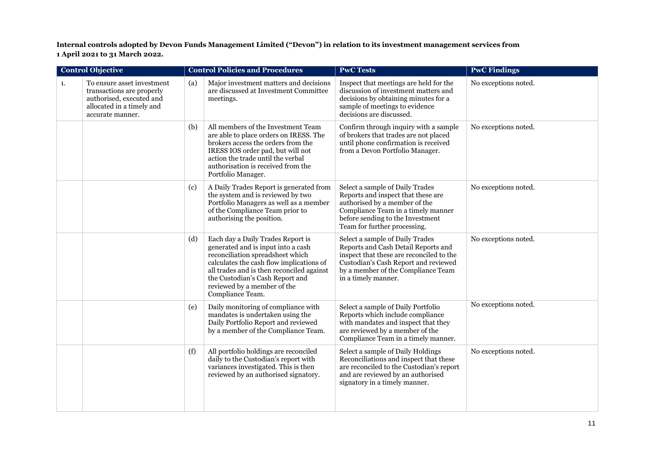**Internal controls adopted by Devon Funds Management Limited ("Devon") in relation to its investment management services from 1 April 2021 to 31 March 2022.**

| <b>Control Objective</b> |                                                                                                                                      | <b>Control Policies and Procedures</b> |                                                                                                                                                                                                                                                                                            | <b>PwC Tests</b>                                                                                                                                                                                                        | <b>PwC Findings</b>  |
|--------------------------|--------------------------------------------------------------------------------------------------------------------------------------|----------------------------------------|--------------------------------------------------------------------------------------------------------------------------------------------------------------------------------------------------------------------------------------------------------------------------------------------|-------------------------------------------------------------------------------------------------------------------------------------------------------------------------------------------------------------------------|----------------------|
| 1.                       | To ensure asset investment<br>transactions are properly<br>authorised, executed and<br>allocated in a timely and<br>accurate manner. | (a)                                    | Major investment matters and decisions<br>are discussed at Investment Committee<br>meetings.                                                                                                                                                                                               | Inspect that meetings are held for the<br>discussion of investment matters and<br>decisions by obtaining minutes for a<br>sample of meetings to evidence<br>decisions are discussed.                                    | No exceptions noted. |
|                          |                                                                                                                                      | (b)                                    | All members of the Investment Team<br>are able to place orders on IRESS. The<br>brokers access the orders from the<br>IRESS IOS order pad, but will not<br>action the trade until the verbal<br>authorisation is received from the<br>Portfolio Manager.                                   | Confirm through inquiry with a sample<br>of brokers that trades are not placed<br>until phone confirmation is received<br>from a Devon Portfolio Manager.                                                               | No exceptions noted. |
|                          |                                                                                                                                      | (c)                                    | A Daily Trades Report is generated from<br>the system and is reviewed by two<br>Portfolio Managers as well as a member<br>of the Compliance Team prior to<br>authorising the position.                                                                                                     | Select a sample of Daily Trades<br>Reports and inspect that these are<br>authorised by a member of the<br>Compliance Team in a timely manner<br>before sending to the Investment<br>Team for further processing.        | No exceptions noted. |
|                          |                                                                                                                                      | (d)                                    | Each day a Daily Trades Report is<br>generated and is input into a cash<br>reconciliation spreadsheet which<br>calculates the cash flow implications of<br>all trades and is then reconciled against<br>the Custodian's Cash Report and<br>reviewed by a member of the<br>Compliance Team. | Select a sample of Daily Trades<br>Reports and Cash Detail Reports and<br>inspect that these are reconciled to the<br>Custodian's Cash Report and reviewed<br>by a member of the Compliance Team<br>in a timely manner. | No exceptions noted. |
|                          |                                                                                                                                      | (e)                                    | Daily monitoring of compliance with<br>mandates is undertaken using the<br>Daily Portfolio Report and reviewed<br>by a member of the Compliance Team.                                                                                                                                      | Select a sample of Daily Portfolio<br>Reports which include compliance<br>with mandates and inspect that they<br>are reviewed by a member of the<br>Compliance Team in a timely manner.                                 | No exceptions noted. |
|                          |                                                                                                                                      | (f)                                    | All portfolio holdings are reconciled<br>daily to the Custodian's report with<br>variances investigated. This is then<br>reviewed by an authorised signatory.                                                                                                                              | Select a sample of Daily Holdings<br>Reconciliations and inspect that these<br>are reconciled to the Custodian's report<br>and are reviewed by an authorised<br>signatory in a timely manner.                           | No exceptions noted. |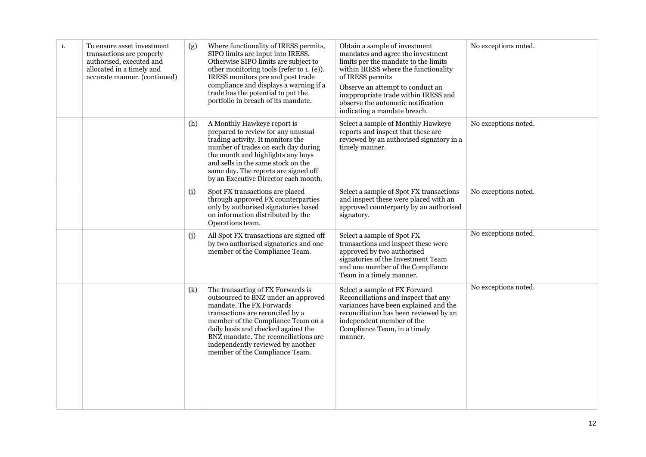| 1. | To ensure asset investment<br>transactions are properly<br>authorised, executed and<br>allocated in a timely and<br>accurate manner. (continued) | (g) | Where functionality of IRESS permits,<br>SIPO limits are input into IRESS.<br>Otherwise SIPO limits are subject to<br>other monitoring tools (refer to 1. (e)).<br>IRESS monitors pre and post trade<br>compliance and displays a warning if a<br>trade has the potential to put the<br>portfolio in breach of its mandate.          | Obtain a sample of investment<br>mandates and agree the investment<br>limits per the mandate to the limits<br>within IRESS where the functionality<br>of IRESS permits<br>Observe an attempt to conduct an<br>inappropriate trade within IRESS and<br>observe the automatic notification<br>indicating a mandate breach. | No exceptions noted. |
|----|--------------------------------------------------------------------------------------------------------------------------------------------------|-----|--------------------------------------------------------------------------------------------------------------------------------------------------------------------------------------------------------------------------------------------------------------------------------------------------------------------------------------|--------------------------------------------------------------------------------------------------------------------------------------------------------------------------------------------------------------------------------------------------------------------------------------------------------------------------|----------------------|
|    |                                                                                                                                                  | (h) | A Monthly Hawkeye report is<br>prepared to review for any unusual<br>trading activity. It monitors the<br>number of trades on each day during<br>the month and highlights any buys<br>and sells in the same stock on the<br>same day. The reports are signed off<br>by an Executive Director each month.                             | Select a sample of Monthly Hawkeye<br>reports and inspect that these are<br>reviewed by an authorised signatory in a<br>timely manner.                                                                                                                                                                                   | No exceptions noted. |
|    |                                                                                                                                                  | (i) | Spot FX transactions are placed<br>through approved FX counterparties<br>only by authorised signatories based<br>on information distributed by the<br>Operations team.                                                                                                                                                               | Select a sample of Spot FX transactions<br>and inspect these were placed with an<br>approved counterparty by an authorised<br>signatory.                                                                                                                                                                                 | No exceptions noted. |
|    |                                                                                                                                                  | (i) | All Spot FX transactions are signed off<br>by two authorised signatories and one<br>member of the Compliance Team.                                                                                                                                                                                                                   | Select a sample of Spot FX<br>transactions and inspect these were<br>approved by two authorised<br>signatories of the Investment Team<br>and one member of the Compliance<br>Team in a timely manner.                                                                                                                    | No exceptions noted. |
|    |                                                                                                                                                  | (k) | The transacting of FX Forwards is<br>outsourced to BNZ under an approved<br>mandate. The FX Forwards<br>transactions are reconciled by a<br>member of the Compliance Team on a<br>daily basis and checked against the<br>BNZ mandate. The reconciliations are<br>independently reviewed by another<br>member of the Compliance Team. | Select a sample of FX Forward<br>Reconciliations and inspect that any<br>variances have been explained and the<br>reconciliation has been reviewed by an<br>independent member of the<br>Compliance Team, in a timely<br>manner.                                                                                         | No exceptions noted. |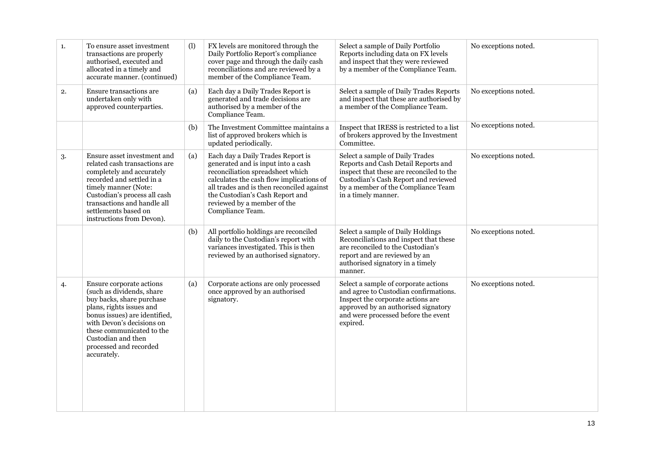| 1. | To ensure asset investment<br>transactions are properly<br>authorised, executed and<br>allocated in a timely and<br>accurate manner. (continued)                                                                                                                         | (1) | FX levels are monitored through the<br>Daily Portfolio Report's compliance<br>cover page and through the daily cash<br>reconciliations and are reviewed by a<br>member of the Compliance Team.                                                                                             | Select a sample of Daily Portfolio<br>Reports including data on FX levels<br>and inspect that they were reviewed<br>by a member of the Compliance Team.                                                                 | No exceptions noted. |
|----|--------------------------------------------------------------------------------------------------------------------------------------------------------------------------------------------------------------------------------------------------------------------------|-----|--------------------------------------------------------------------------------------------------------------------------------------------------------------------------------------------------------------------------------------------------------------------------------------------|-------------------------------------------------------------------------------------------------------------------------------------------------------------------------------------------------------------------------|----------------------|
| 2. | Ensure transactions are<br>undertaken only with<br>approved counterparties.                                                                                                                                                                                              | (a) | Each day a Daily Trades Report is<br>generated and trade decisions are<br>authorised by a member of the<br>Compliance Team.                                                                                                                                                                | Select a sample of Daily Trades Reports<br>and inspect that these are authorised by<br>a member of the Compliance Team.                                                                                                 | No exceptions noted. |
|    |                                                                                                                                                                                                                                                                          | (b) | The Investment Committee maintains a<br>list of approved brokers which is<br>updated periodically.                                                                                                                                                                                         | Inspect that IRESS is restricted to a list<br>of brokers approved by the Investment<br>Committee.                                                                                                                       | No exceptions noted. |
| 3. | Ensure asset investment and<br>related cash transactions are<br>completely and accurately<br>recorded and settled in a<br>timely manner (Note:<br>Custodian's process all cash<br>transactions and handle all<br>settlements based on<br>instructions from Devon).       | (a) | Each day a Daily Trades Report is<br>generated and is input into a cash<br>reconciliation spreadsheet which<br>calculates the cash flow implications of<br>all trades and is then reconciled against<br>the Custodian's Cash Report and<br>reviewed by a member of the<br>Compliance Team. | Select a sample of Daily Trades<br>Reports and Cash Detail Reports and<br>inspect that these are reconciled to the<br>Custodian's Cash Report and reviewed<br>by a member of the Compliance Team<br>in a timely manner. | No exceptions noted. |
|    |                                                                                                                                                                                                                                                                          | (b) | All portfolio holdings are reconciled<br>daily to the Custodian's report with<br>variances investigated. This is then<br>reviewed by an authorised signatory.                                                                                                                              | Select a sample of Daily Holdings<br>Reconciliations and inspect that these<br>are reconciled to the Custodian's<br>report and are reviewed by an<br>authorised signatory in a timely<br>manner.                        | No exceptions noted. |
| 4. | Ensure corporate actions<br>(such as dividends, share<br>buy backs, share purchase<br>plans, rights issues and<br>bonus issues) are identified,<br>with Devon's decisions on<br>these communicated to the<br>Custodian and then<br>processed and recorded<br>accurately. | (a) | Corporate actions are only processed<br>once approved by an authorised<br>signatory.                                                                                                                                                                                                       | Select a sample of corporate actions<br>and agree to Custodian confirmations.<br>Inspect the corporate actions are<br>approved by an authorised signatory<br>and were processed before the event<br>expired.            | No exceptions noted. |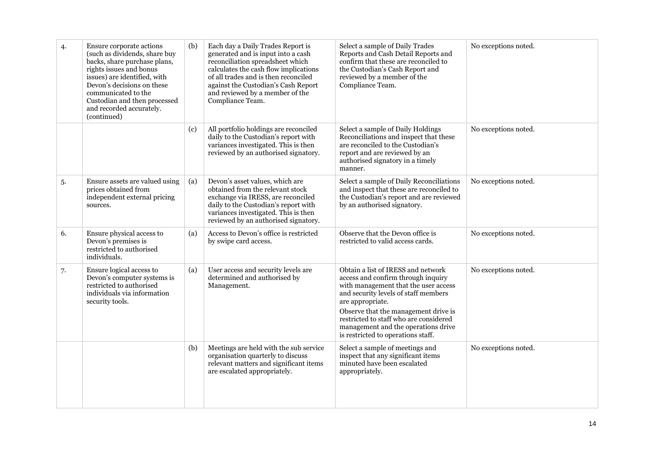| 4. | Ensure corporate actions<br>(such as dividends, share buy<br>backs, share purchase plans,<br>rights issues and bonus<br>issues) are identified, with<br>Devon's decisions on these<br>communicated to the<br>Custodian and then processed<br>and recorded accurately.<br>(continued) | (b) | Each day a Daily Trades Report is<br>generated and is input into a cash<br>reconciliation spreadsheet which<br>calculates the cash flow implications<br>of all trades and is then reconciled<br>against the Custodian's Cash Report<br>and reviewed by a member of the<br>Compliance Team. | Select a sample of Daily Trades<br>Reports and Cash Detail Reports and<br>confirm that these are reconciled to<br>the Custodian's Cash Report and<br>reviewed by a member of the<br>Compliance Team.                                                                                                                                        | No exceptions noted. |
|----|--------------------------------------------------------------------------------------------------------------------------------------------------------------------------------------------------------------------------------------------------------------------------------------|-----|--------------------------------------------------------------------------------------------------------------------------------------------------------------------------------------------------------------------------------------------------------------------------------------------|---------------------------------------------------------------------------------------------------------------------------------------------------------------------------------------------------------------------------------------------------------------------------------------------------------------------------------------------|----------------------|
|    |                                                                                                                                                                                                                                                                                      | (c) | All portfolio holdings are reconciled<br>daily to the Custodian's report with<br>variances investigated. This is then<br>reviewed by an authorised signatory.                                                                                                                              | Select a sample of Daily Holdings<br>Reconciliations and inspect that these<br>are reconciled to the Custodian's<br>report and are reviewed by an<br>authorised signatory in a timely<br>manner.                                                                                                                                            | No exceptions noted. |
| 5. | Ensure assets are valued using<br>prices obtained from<br>independent external pricing<br>sources.                                                                                                                                                                                   | (a) | Devon's asset values, which are<br>obtained from the relevant stock<br>exchange via IRESS, are reconciled<br>daily to the Custodian's report with<br>variances investigated. This is then<br>reviewed by an authorised signatory.                                                          | Select a sample of Daily Reconciliations<br>and inspect that these are reconciled to<br>the Custodian's report and are reviewed<br>by an authorised signatory.                                                                                                                                                                              | No exceptions noted. |
| 6. | Ensure physical access to<br>Devon's premises is<br>restricted to authorised<br>individuals.                                                                                                                                                                                         | (a) | Access to Devon's office is restricted<br>by swipe card access.                                                                                                                                                                                                                            | Observe that the Devon office is<br>restricted to valid access cards.                                                                                                                                                                                                                                                                       | No exceptions noted. |
| 7. | Ensure logical access to<br>Devon's computer systems is<br>restricted to authorised<br>individuals via information<br>security tools.                                                                                                                                                | (a) | User access and security levels are<br>determined and authorised by<br>Management.                                                                                                                                                                                                         | Obtain a list of IRESS and network<br>access and confirm through inquiry<br>with management that the user access<br>and security levels of staff members<br>are appropriate.<br>Observe that the management drive is<br>restricted to staff who are considered<br>management and the operations drive<br>is restricted to operations staff. | No exceptions noted. |
|    |                                                                                                                                                                                                                                                                                      | (b) | Meetings are held with the sub service<br>organisation quarterly to discuss<br>relevant matters and significant items<br>are escalated appropriately.                                                                                                                                      | Select a sample of meetings and<br>inspect that any significant items<br>minuted have been escalated<br>appropriately.                                                                                                                                                                                                                      | No exceptions noted. |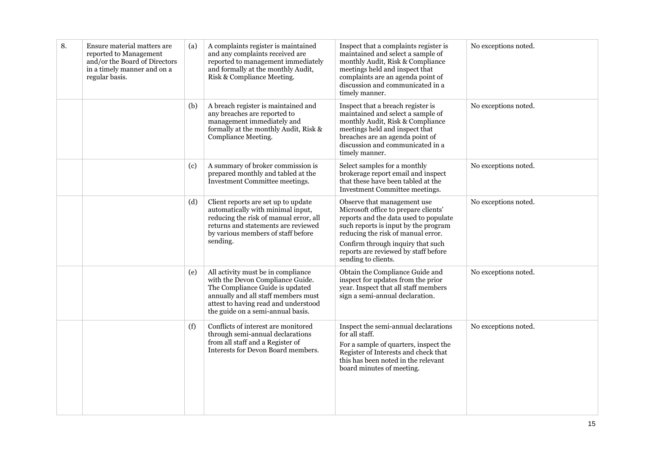| 8. | Ensure material matters are<br>reported to Management<br>and/or the Board of Directors<br>in a timely manner and on a<br>regular basis. | (a) | A complaints register is maintained<br>and any complaints received are<br>reported to management immediately<br>and formally at the monthly Audit,<br>Risk & Compliance Meeting.                                              | Inspect that a complaints register is<br>maintained and select a sample of<br>monthly Audit, Risk & Compliance<br>meetings held and inspect that<br>complaints are an agenda point of<br>discussion and communicated in a<br>timely manner.                                                    | No exceptions noted. |
|----|-----------------------------------------------------------------------------------------------------------------------------------------|-----|-------------------------------------------------------------------------------------------------------------------------------------------------------------------------------------------------------------------------------|------------------------------------------------------------------------------------------------------------------------------------------------------------------------------------------------------------------------------------------------------------------------------------------------|----------------------|
|    |                                                                                                                                         | (b) | A breach register is maintained and<br>any breaches are reported to<br>management immediately and<br>formally at the monthly Audit, Risk &<br>Compliance Meeting.                                                             | Inspect that a breach register is<br>maintained and select a sample of<br>monthly Audit, Risk & Compliance<br>meetings held and inspect that<br>breaches are an agenda point of<br>discussion and communicated in a<br>timely manner.                                                          | No exceptions noted. |
|    |                                                                                                                                         | (c) | A summary of broker commission is<br>prepared monthly and tabled at the<br>Investment Committee meetings.                                                                                                                     | Select samples for a monthly<br>brokerage report email and inspect<br>that these have been tabled at the<br>Investment Committee meetings.                                                                                                                                                     | No exceptions noted. |
|    |                                                                                                                                         | (d) | Client reports are set up to update<br>automatically with minimal input,<br>reducing the risk of manual error, all<br>returns and statements are reviewed<br>by various members of staff before<br>sending.                   | Observe that management use<br>Microsoft office to prepare clients'<br>reports and the data used to populate<br>such reports is input by the program<br>reducing the risk of manual error.<br>Confirm through inquiry that such<br>reports are reviewed by staff before<br>sending to clients. | No exceptions noted. |
|    |                                                                                                                                         | (e) | All activity must be in compliance<br>with the Devon Compliance Guide.<br>The Compliance Guide is updated<br>annually and all staff members must<br>attest to having read and understood<br>the guide on a semi-annual basis. | Obtain the Compliance Guide and<br>inspect for updates from the prior<br>year. Inspect that all staff members<br>sign a semi-annual declaration.                                                                                                                                               | No exceptions noted. |
|    |                                                                                                                                         | (f) | Conflicts of interest are monitored<br>through semi-annual declarations<br>from all staff and a Register of<br>Interests for Devon Board members.                                                                             | Inspect the semi-annual declarations<br>for all staff.<br>For a sample of quarters, inspect the<br>Register of Interests and check that<br>this has been noted in the relevant<br>board minutes of meeting.                                                                                    | No exceptions noted. |